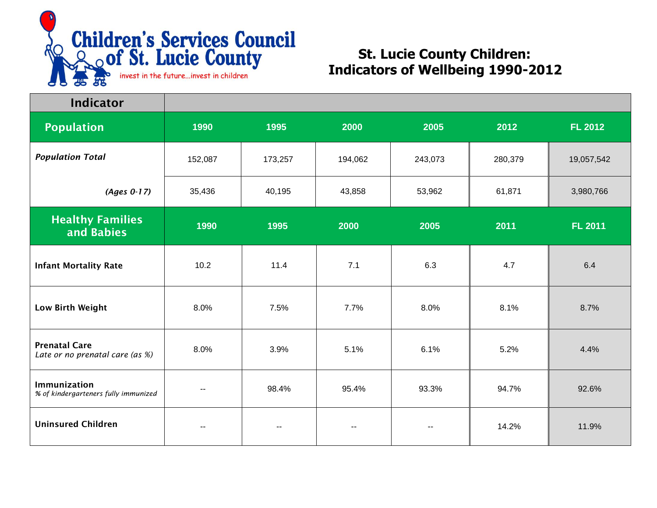

| <b>Indicator</b>                                        |         |                          |               |         |         |                |
|---------------------------------------------------------|---------|--------------------------|---------------|---------|---------|----------------|
| <b>Population</b>                                       | 1990    | 1995                     | 2000          | 2005    | 2012    | <b>FL 2012</b> |
| <b>Population Total</b>                                 | 152,087 | 173,257                  | 194,062       | 243,073 | 280,379 | 19,057,542     |
| $(Ages 0-17)$                                           | 35,436  | 40,195                   | 43,858        | 53,962  | 61,871  | 3,980,766      |
| <b>Healthy Families</b><br>and Babies                   | 1990    | 1995                     | 2000          | 2005    | 2011    | <b>FL 2011</b> |
| <b>Infant Mortality Rate</b>                            | 10.2    | 11.4                     | 7.1           | 6.3     | 4.7     | 6.4            |
| Low Birth Weight                                        | 8.0%    | 7.5%                     | 7.7%          | 8.0%    | 8.1%    | 8.7%           |
| <b>Prenatal Care</b><br>Late or no prenatal care (as %) | 8.0%    | 3.9%                     | 5.1%          | 6.1%    | 5.2%    | 4.4%           |
| Immunization<br>% of kindergarteners fully immunized    | --      | 98.4%                    | 95.4%         | 93.3%   | 94.7%   | 92.6%          |
| <b>Uninsured Children</b>                               | --      | $\overline{\phantom{m}}$ | $\sim$ $\sim$ | $\sim$  | 14.2%   | 11.9%          |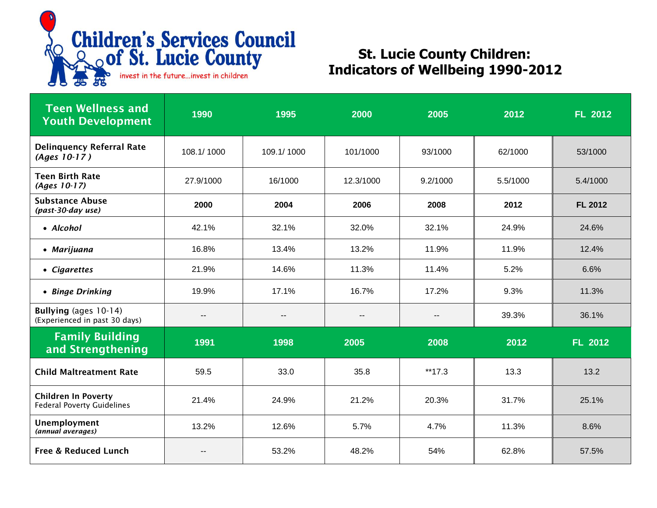

| <b>Teen Wellness and</b><br><b>Youth Development</b>            | 1990                     | 1995                     | 2000                     | 2005                     | 2012     | <b>FL 2012</b> |  |
|-----------------------------------------------------------------|--------------------------|--------------------------|--------------------------|--------------------------|----------|----------------|--|
| <b>Delinquency Referral Rate</b><br>$(Ages 10-17)$              | 108.1/1000               | 109.1/1000               | 101/1000                 | 93/1000                  | 62/1000  | 53/1000        |  |
| <b>Teen Birth Rate</b><br>(Ages 10-17)                          | 27.9/1000                | 16/1000                  | 12.3/1000                | 9.2/1000                 | 5.5/1000 | 5.4/1000       |  |
| <b>Substance Abuse</b><br>(past-30-day use)                     | 2000                     | 2004                     | 2006                     | 2008                     | 2012     | <b>FL 2012</b> |  |
| • Alcohol                                                       | 42.1%                    | 32.1%                    | 32.0%                    | 32.1%                    | 24.9%    | 24.6%          |  |
| • Marijuana                                                     | 16.8%                    | 13.4%                    | 13.2%                    | 11.9%                    | 11.9%    | 12.4%          |  |
| • Cigarettes                                                    | 21.9%                    | 14.6%                    | 11.3%                    | 11.4%                    | 5.2%     | 6.6%           |  |
| • Binge Drinking                                                | 19.9%                    | 17.1%                    | 16.7%                    | 17.2%                    | 9.3%     | 11.3%          |  |
| Bullying (ages 10-14)<br>(Experienced in past 30 days)          | $\overline{\phantom{a}}$ | $\overline{\phantom{a}}$ | $\overline{\phantom{a}}$ | $\overline{\phantom{a}}$ | 39.3%    | 36.1%          |  |
| <b>Family Building</b><br>and Strengthening                     | 1991                     | 1998                     | 2005                     | 2008                     | 2012     | <b>FL 2012</b> |  |
| <b>Child Maltreatment Rate</b>                                  | 59.5                     | 33.0                     | 35.8                     | **17.3                   | 13.3     | 13.2           |  |
| <b>Children In Poverty</b><br><b>Federal Poverty Guidelines</b> | 21.4%                    | 24.9%                    | 21.2%                    | 20.3%                    | 31.7%    | 25.1%          |  |
| Unemployment<br>(annual averages)                               | 13.2%                    | 12.6%                    | 5.7%                     | 4.7%                     | 11.3%    | 8.6%           |  |
| <b>Free &amp; Reduced Lunch</b>                                 | --                       | 53.2%                    | 48.2%                    | 54%                      | 62.8%    | 57.5%          |  |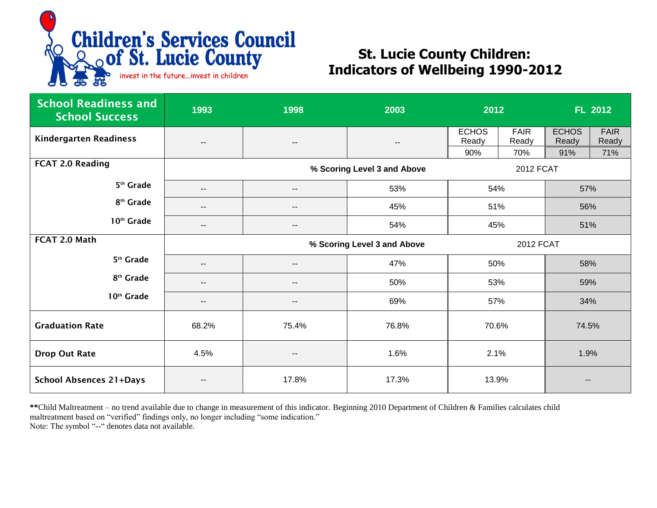

| <b>School Readiness and</b><br><b>School Success</b> | 1993                                            | 1998                     | 2003                     | 2012                  |                      | <b>FL 2012</b>        |                      |
|------------------------------------------------------|-------------------------------------------------|--------------------------|--------------------------|-----------------------|----------------------|-----------------------|----------------------|
| <b>Kindergarten Readiness</b>                        | $\overline{\phantom{a}}$                        | $\overline{\phantom{a}}$ | $\overline{\phantom{a}}$ | <b>ECHOS</b><br>Ready | <b>FAIR</b><br>Ready | <b>ECHOS</b><br>Ready | <b>FAIR</b><br>Ready |
|                                                      |                                                 |                          |                          | 90%                   | 70%                  | 91%                   | 71%                  |
| <b>FCAT 2.0 Reading</b>                              | % Scoring Level 3 and Above<br><b>2012 FCAT</b> |                          |                          |                       |                      |                       |                      |
| 5 <sup>th</sup> Grade                                | $- -$                                           | $\overline{\phantom{a}}$ | 53%                      | 54%                   |                      | 57%                   |                      |
| 8 <sup>th</sup> Grade                                | $- -$                                           | $\overline{\phantom{a}}$ | 45%                      | 51%                   |                      | 56%                   |                      |
| 10 <sup>th</sup> Grade                               | $- -$                                           | --                       | 54%                      | 45%                   |                      | 51%                   |                      |
| FCAT 2.0 Math                                        | % Scoring Level 3 and Above<br><b>2012 FCAT</b> |                          |                          |                       |                      |                       |                      |
| 5 <sup>th</sup> Grade                                | $-$                                             | --                       | 47%                      | 50%                   |                      | 58%                   |                      |
| 8 <sup>th</sup> Grade                                | $- -$                                           | $\overline{\phantom{a}}$ | 50%                      | 53%<br>57%            |                      | 59%                   |                      |
| 10 <sup>th</sup> Grade                               | $\overline{\phantom{a}}$                        | --                       | 69%                      |                       |                      | 34%                   |                      |
| <b>Graduation Rate</b>                               | 68.2%                                           | 75.4%                    | 76.8%                    | 70.6%                 |                      | 74.5%                 |                      |
| <b>Drop Out Rate</b>                                 | 4.5%                                            | --                       | 1.6%                     | 2.1%                  |                      | 1.9%                  |                      |
| <b>School Absences 21+Days</b>                       | $\overline{\phantom{a}}$                        | 17.8%                    | 17.3%                    | 13.9%                 |                      |                       |                      |

**\*\***Child Maltreatment – no trend available due to change in measurement of this indicator. Beginning 2010 Department of Children & Families calculates child maltreatment based on "verified" findings only, no longer including "some indication." Note: The symbol "--" denotes data not available.